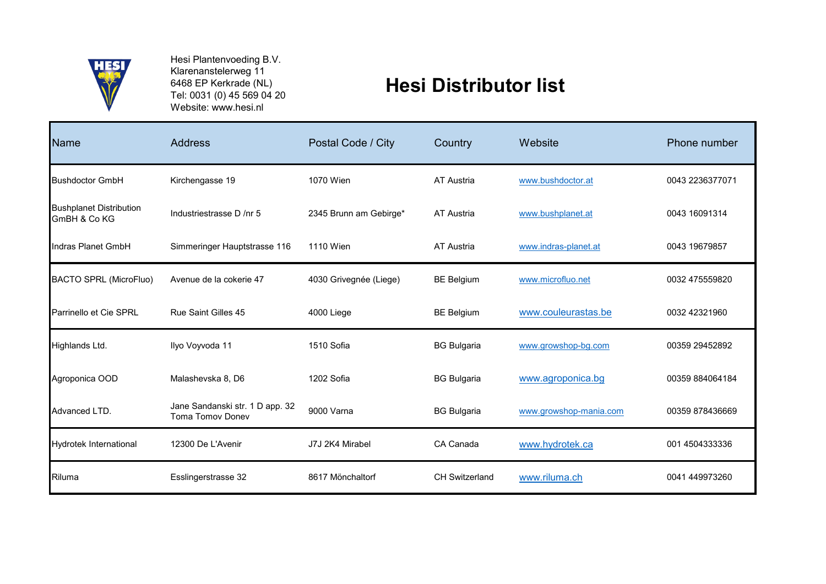

Hesi Plantenvoeding B.V. Klarenanstelerweg 11 6468 EP Kerkrade (NL) Tel: 0031 (0) 45 569 04 20 Website: www.hesi.nl

## **Hesi Distributor list**

| <b>Name</b>                                    | Address                                                    | Postal Code / City     | Country               | Website                | Phone number    |
|------------------------------------------------|------------------------------------------------------------|------------------------|-----------------------|------------------------|-----------------|
| <b>Bushdoctor GmbH</b>                         | Kirchengasse 19                                            | 1070 Wien              | AT Austria            | www.bushdoctor.at      | 0043 2236377071 |
| <b>Bushplanet Distribution</b><br>GmBH & Co KG | Industriestrasse D /nr 5                                   | 2345 Brunn am Gebirge* | AT Austria            | www.bushplanet.at      | 0043 16091314   |
| Indras Planet GmbH                             | Simmeringer Hauptstrasse 116                               | <b>1110 Wien</b>       | AT Austria            | www.indras-planet.at   | 0043 19679857   |
| <b>BACTO SPRL (MicroFluo)</b>                  | Avenue de la cokerie 47                                    | 4030 Grivegnée (Liege) | <b>BE Belgium</b>     | www.microfluo.net      | 0032 475559820  |
| Parrinello et Cie SPRL                         | Rue Saint Gilles 45                                        | 4000 Liege             | <b>BE Belgium</b>     | www.couleurastas.be    | 0032 42321960   |
| Highlands Ltd.                                 | Ilyo Voyvoda 11                                            | 1510 Sofia             | <b>BG Bulgaria</b>    | www.growshop-bg.com    | 00359 29452892  |
| Agroponica OOD                                 | Malashevska 8, D6                                          | 1202 Sofia             | <b>BG Bulgaria</b>    | www.agroponica.bg      | 00359 884064184 |
| Advanced LTD.                                  | Jane Sandanski str. 1 D app. 32<br><b>Toma Tomov Donev</b> | 9000 Varna             | <b>BG Bulgaria</b>    | www.growshop-mania.com | 00359 878436669 |
| Hydrotek International                         | 12300 De L'Avenir                                          | J7J 2K4 Mirabel        | CA Canada             | www.hydrotek.ca        | 001 4504333336  |
| Riluma                                         | Esslingerstrasse 32                                        | 8617 Mönchaltorf       | <b>CH Switzerland</b> | www.riluma.ch          | 0041 449973260  |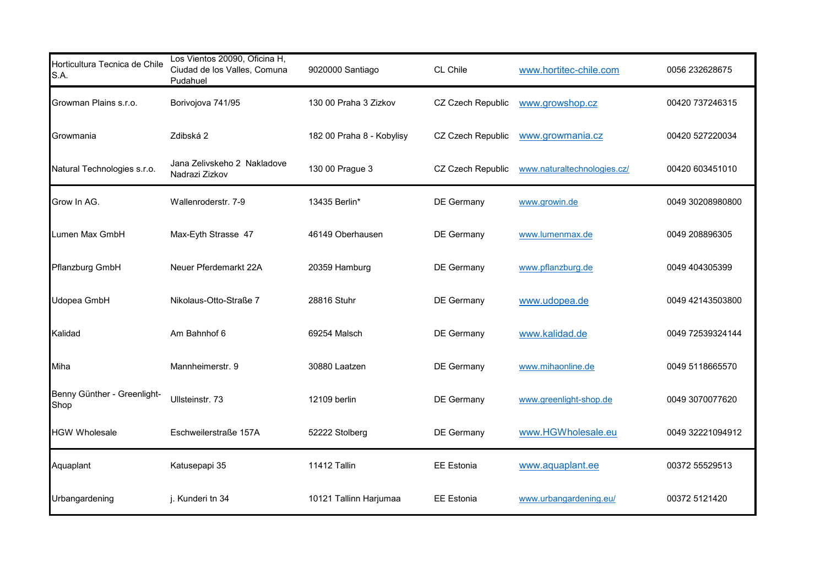| Horticultura Tecnica de Chile<br>S.A. | Los Vientos 20090, Oficina H,<br>Ciudad de los Valles, Comuna<br>Pudahuel | 9020000 Santiago          | CL Chile          | www.hortitec-chile.com      | 0056 232628675   |
|---------------------------------------|---------------------------------------------------------------------------|---------------------------|-------------------|-----------------------------|------------------|
| Growman Plains s.r.o.                 | Borivojova 741/95                                                         | 130 00 Praha 3 Zizkov     | CZ Czech Republic | www.growshop.cz             | 00420 737246315  |
| Growmania                             | Zdibská 2                                                                 | 182 00 Praha 8 - Kobylisy | CZ Czech Republic | www.growmania.cz            | 00420 527220034  |
| Natural Technologies s.r.o.           | Jana Zelivskeho 2 Nakladove<br>Nadrazi Zizkov                             | 130 00 Prague 3           | CZ Czech Republic | www.naturaltechnologies.cz/ | 00420 603451010  |
| Grow In AG.                           | Wallenroderstr. 7-9                                                       | 13435 Berlin*             | DE Germany        | www.growin.de               | 0049 30208980800 |
| Lumen Max GmbH                        | Max-Eyth Strasse 47                                                       | 46149 Oberhausen          | DE Germany        | www.lumenmax.de             | 0049 208896305   |
| Pflanzburg GmbH                       | Neuer Pferdemarkt 22A                                                     | 20359 Hamburg             | <b>DE Germany</b> | www.pflanzburg.de           | 0049 404305399   |
| Udopea GmbH                           | Nikolaus-Otto-Straße 7                                                    | 28816 Stuhr               | DE Germany        | www.udopea.de               | 0049 42143503800 |
| Kalidad                               | Am Bahnhof 6                                                              | 69254 Malsch              | <b>DE Germany</b> | www.kalidad.de              | 0049 72539324144 |
| Miha                                  | Mannheimerstr. 9                                                          | 30880 Laatzen             | DE Germany        | www.mihaonline.de           | 0049 5118665570  |
| Benny Günther - Greenlight-<br>Shop   | Ullsteinstr. 73                                                           | 12109 berlin              | DE Germany        | www.greenlight-shop.de      | 0049 3070077620  |
| <b>HGW Wholesale</b>                  | Eschweilerstraße 157A                                                     | 52222 Stolberg            | DE Germany        | www.HGWholesale.eu          | 0049 32221094912 |
| Aquaplant                             | Katusepapi 35                                                             | <b>11412 Tallin</b>       | <b>EE Estonia</b> | www.aquaplant.ee            | 00372 55529513   |
| Urbangardening                        | j. Kunderi tn 34                                                          | 10121 Tallinn Harjumaa    | <b>EE</b> Estonia | www.urbangardening.eu/      | 00372 5121420    |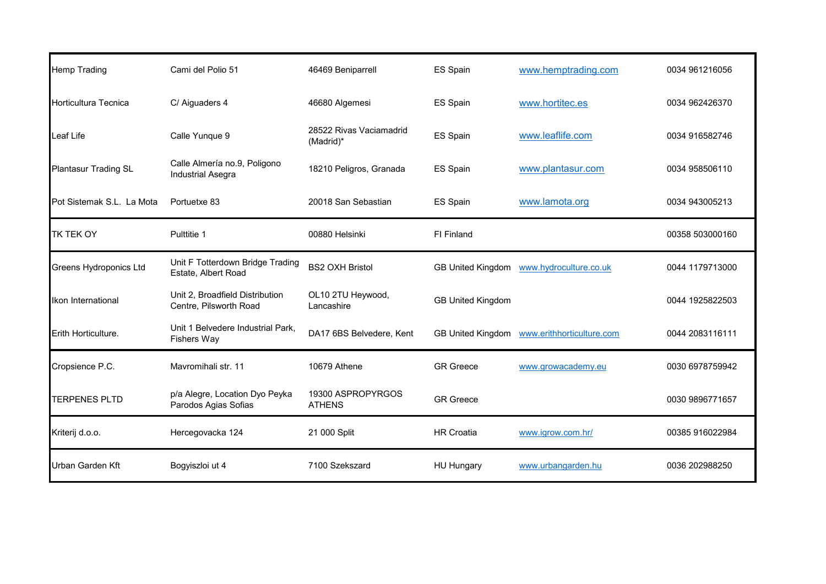| <b>Hemp Trading</b>           | Cami del Polio 51                                         | 46469 Beniparrell                    | ES Spain                 | www.hemptrading.com                      | 0034 961216056  |
|-------------------------------|-----------------------------------------------------------|--------------------------------------|--------------------------|------------------------------------------|-----------------|
| Horticultura Tecnica          | C/ Aiguaders 4                                            | 46680 Algemesi                       | ES Spain                 | www.hortitec.es                          | 0034 962426370  |
| ∟eaf Life                     | Calle Yunque 9                                            | 28522 Rivas Vaciamadrid<br>(Madrid)* | ES Spain                 | www.leaflife.com                         | 0034 916582746  |
| Plantasur Trading SL          | Calle Almería no.9, Poligono<br><b>Industrial Asegra</b>  | 18210 Peligros, Granada              | ES Spain                 | www.plantasur.com                        | 0034 958506110  |
| Pot Sistemak S.L. La Mota     | Portuetxe 83                                              | 20018 San Sebastian                  | ES Spain                 | www.lamota.org                           | 0034 943005213  |
| <b>TK TEK OY</b>              | Pulttitie 1                                               | 00880 Helsinki                       | FI Finland               |                                          | 00358 503000160 |
| <b>Greens Hydroponics Ltd</b> | Unit F Totterdown Bridge Trading<br>Estate, Albert Road   | <b>BS2 OXH Bristol</b>               |                          | GB United Kingdom www.hydroculture.co.uk | 0044 1179713000 |
| Ikon International            | Unit 2, Broadfield Distribution<br>Centre, Pilsworth Road | OL10 2TU Heywood,<br>Lancashire      | <b>GB United Kingdom</b> |                                          | 0044 1925822503 |
| Erith Horticulture.           | Unit 1 Belvedere Industrial Park,<br><b>Fishers Way</b>   | DA17 6BS Belvedere, Kent             | <b>GB United Kingdom</b> | www.erithhorticulture.com                | 0044 2083116111 |
| Cropsience P.C.               | Mavromihali str. 11                                       | 10679 Athene                         | <b>GR</b> Greece         | www.growacademy.eu                       | 0030 6978759942 |
| <b>TERPENES PLTD</b>          | p/a Alegre, Location Dyo Peyka<br>Parodos Agias Sofias    | 19300 ASPROPYRGOS<br><b>ATHENS</b>   | <b>GR</b> Greece         |                                          | 0030 9896771657 |
| Kriterij d.o.o.               | Hercegovacka 124                                          | 21 000 Split                         | <b>HR Croatia</b>        | www.igrow.com.hr/                        | 00385 916022984 |
| Urban Garden Kft              | Bogyiszloi ut 4                                           | 7100 Szekszard                       | <b>HU Hungary</b>        | www.urbangarden.hu                       | 0036 202988250  |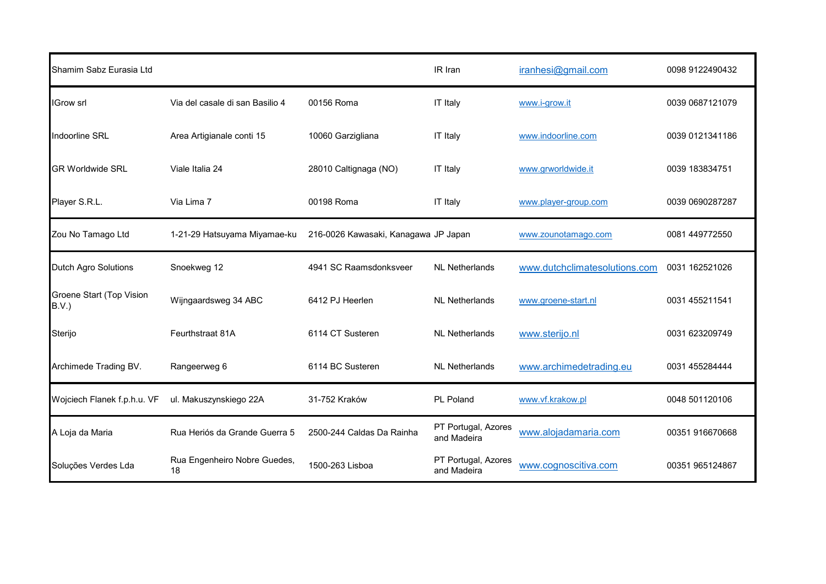| Shamim Sabz Eurasia Ltd           |                                    |                                      | IR Iran                            | iranhesi@gmail.com            | 0098 9122490432 |
|-----------------------------------|------------------------------------|--------------------------------------|------------------------------------|-------------------------------|-----------------|
| <b>IGrow srl</b>                  | Via del casale di san Basilio 4    | 00156 Roma                           | <b>IT Italy</b>                    | www.i-grow.it                 | 0039 0687121079 |
| Indoorline SRL                    | Area Artigianale conti 15          | 10060 Garzigliana                    | <b>IT Italy</b>                    | www.indoorline.com            | 0039 0121341186 |
| <b>GR Worldwide SRL</b>           | Viale Italia 24                    | 28010 Caltignaga (NO)                | <b>IT Italy</b>                    | www.grworldwide.it            | 0039 183834751  |
| Player S.R.L.                     | Via Lima 7                         | 00198 Roma                           | <b>IT Italy</b>                    | www.player-group.com          | 0039 0690287287 |
| Zou No Tamago Ltd                 | 1-21-29 Hatsuyama Miyamae-ku       | 216-0026 Kawasaki, Kanagawa JP Japan |                                    | www.zounotamago.com           | 0081 449772550  |
| Dutch Agro Solutions              | Snoekweg 12                        | 4941 SC Raamsdonksveer               | <b>NL Netherlands</b>              | www.dutchclimatesolutions.com | 0031 162521026  |
| Groene Start (Top Vision<br>B.V.) | Wijngaardsweg 34 ABC               | 6412 PJ Heerlen                      | <b>NL Netherlands</b>              | www.groene-start.nl           | 0031 455211541  |
| Sterijo                           | Feurthstraat 81A                   | 6114 CT Susteren                     | <b>NL Netherlands</b>              | www.sterijo.nl                | 0031 623209749  |
| Archimede Trading BV.             | Rangeerweg 6                       | 6114 BC Susteren                     | <b>NL Netherlands</b>              | www.archimedetrading.eu       | 0031 455284444  |
| Wojciech Flanek f.p.h.u. VF       | ul. Makuszynskiego 22A             | 31-752 Kraków                        | PL Poland                          | www.vf.krakow.pl              | 0048 501120106  |
| A Loja da Maria                   | Rua Heriós da Grande Guerra 5      | 2500-244 Caldas Da Rainha            | PT Portugal, Azores<br>and Madeira | www.alojadamaria.com          | 00351 916670668 |
| Soluções Verdes Lda               | Rua Engenheiro Nobre Guedes,<br>18 | 1500-263 Lisboa                      | PT Portugal, Azores<br>and Madeira | www.cognoscitiva.com          | 00351 965124867 |